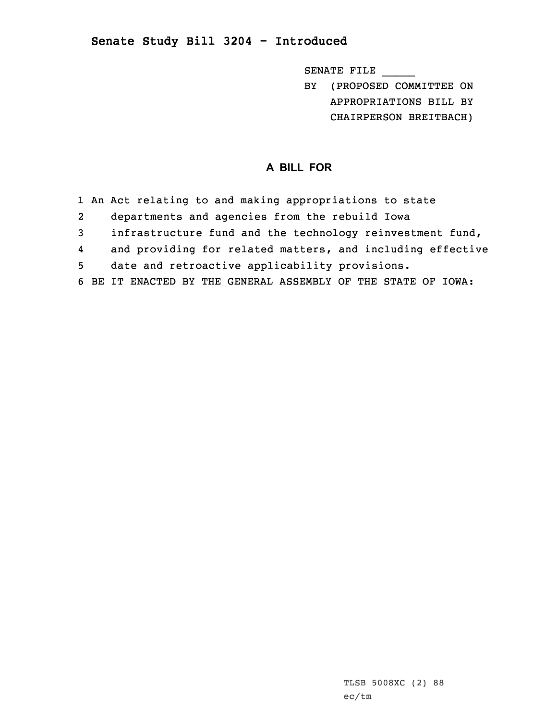## **Senate Study Bill 3204 - Introduced**

SENATE FILE \_\_\_\_\_

BY (PROPOSED COMMITTEE ON APPROPRIATIONS BILL BY CHAIRPERSON BREITBACH)

## **A BILL FOR**

- 1 An Act relating to and making appropriations to state
- 2departments and agencies from the rebuild Iowa
- 3 infrastructure fund and the technology reinvestment fund,
- 4and providing for related matters, and including effective
- 5 date and retroactive applicability provisions.
- 6 BE IT ENACTED BY THE GENERAL ASSEMBLY OF THE STATE OF IOWA: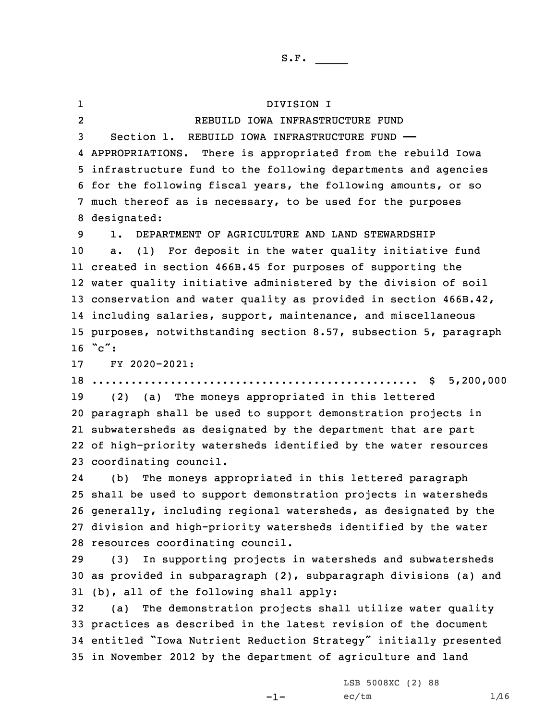1 DIVISION I 2 REBUILD IOWA INFRASTRUCTURE FUND Section 1. REBUILD IOWA INFRASTRUCTURE FUND —— APPROPRIATIONS. There is appropriated from the rebuild Iowa infrastructure fund to the following departments and agencies for the following fiscal years, the following amounts, or so much thereof as is necessary, to be used for the purposes designated: 1. DEPARTMENT OF AGRICULTURE AND LAND STEWARDSHIP a. (1) For deposit in the water quality initiative fund created in section 466B.45 for purposes of supporting the water quality initiative administered by the division of soil conservation and water quality as provided in section 466B.42, including salaries, support, maintenance, and miscellaneous purposes, notwithstanding section 8.57, subsection 5, paragraph  $\degree$  c": FY 2020-2021: .................................................. \$ 5,200,000 (2) (a) The moneys appropriated in this lettered paragraph shall be used to support demonstration projects in subwatersheds as designated by the department that are part of high-priority watersheds identified by the water resources coordinating council. 24 (b) The moneys appropriated in this lettered paragraph shall be used to support demonstration projects in watersheds generally, including regional watersheds, as designated by the division and high-priority watersheds identified by the water resources coordinating council. (3) In supporting projects in watersheds and subwatersheds as provided in subparagraph (2), subparagraph divisions (a) and (b), all of the following shall apply: (a) The demonstration projects shall utilize water quality practices as described in the latest revision of the document entitled "Iowa Nutrient Reduction Strategy" initially presented in November 2012 by the department of agriculture and land

-1-

LSB 5008XC (2) 88  $ec/tm$   $1/16$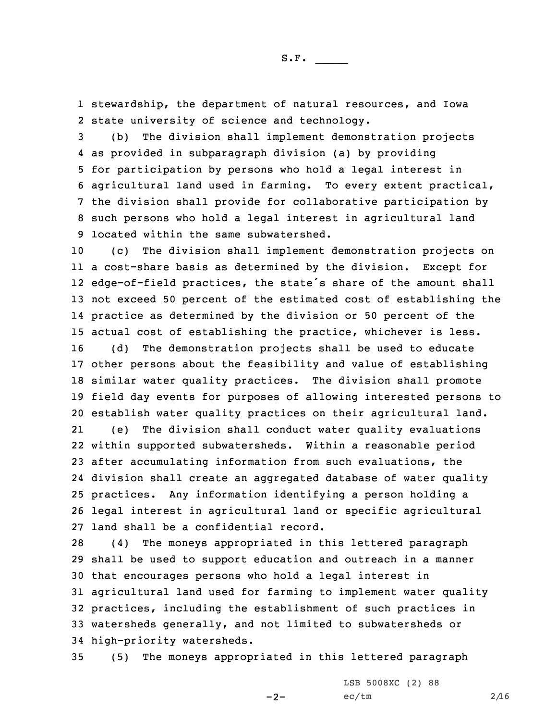1 stewardship, the department of natural resources, and Iowa 2 state university of science and technology.

 (b) The division shall implement demonstration projects as provided in subparagraph division (a) by providing for participation by persons who hold <sup>a</sup> legal interest in agricultural land used in farming. To every extent practical, the division shall provide for collaborative participation by such persons who hold <sup>a</sup> legal interest in agricultural land located within the same subwatershed.

 (c) The division shall implement demonstration projects on <sup>a</sup> cost-share basis as determined by the division. Except for edge-of-field practices, the state's share of the amount shall not exceed 50 percent of the estimated cost of establishing the practice as determined by the division or 50 percent of the actual cost of establishing the practice, whichever is less. (d) The demonstration projects shall be used to educate other persons about the feasibility and value of establishing similar water quality practices. The division shall promote field day events for purposes of allowing interested persons to establish water quality practices on their agricultural land. 21 (e) The division shall conduct water quality evaluations within supported subwatersheds. Within <sup>a</sup> reasonable period after accumulating information from such evaluations, the division shall create an aggregated database of water quality practices. Any information identifying <sup>a</sup> person holding <sup>a</sup> legal interest in agricultural land or specific agricultural land shall be <sup>a</sup> confidential record.

 (4) The moneys appropriated in this lettered paragraph shall be used to support education and outreach in <sup>a</sup> manner that encourages persons who hold <sup>a</sup> legal interest in agricultural land used for farming to implement water quality practices, including the establishment of such practices in watersheds generally, and not limited to subwatersheds or high-priority watersheds.

35 (5) The moneys appropriated in this lettered paragraph

 $-2-$ 

LSB 5008XC (2) 88  $ec/tm$  2/16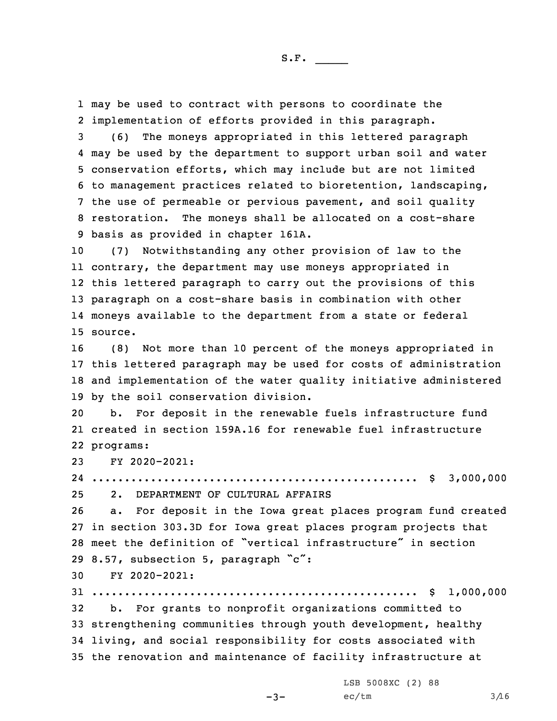1 may be used to contract with persons to coordinate the 2 implementation of efforts provided in this paragraph.

 (6) The moneys appropriated in this lettered paragraph may be used by the department to support urban soil and water conservation efforts, which may include but are not limited to management practices related to bioretention, landscaping, the use of permeable or pervious pavement, and soil quality restoration. The moneys shall be allocated on <sup>a</sup> cost-share basis as provided in chapter 161A.

 (7) Notwithstanding any other provision of law to the contrary, the department may use moneys appropriated in this lettered paragraph to carry out the provisions of this paragraph on <sup>a</sup> cost-share basis in combination with other moneys available to the department from <sup>a</sup> state or federal 15 source.

 (8) Not more than 10 percent of the moneys appropriated in this lettered paragraph may be used for costs of administration and implementation of the water quality initiative administered by the soil conservation division.

20 b. For deposit in the renewable fuels infrastructure fund 21 created in section 159A.16 for renewable fuel infrastructure 22 programs:

23 FY 2020-2021:

24 .................................................. \$ 3,000,000 25 2. DEPARTMENT OF CULTURAL AFFAIRS

 a. For deposit in the Iowa great places program fund created in section 303.3D for Iowa great places program projects that meet the definition of "vertical infrastructure" in section 8.57, subsection 5, paragraph "c":

30 FY 2020-2021:

31 .................................................. \$ 1,000,000

 b. For grants to nonprofit organizations committed to strengthening communities through youth development, healthy living, and social responsibility for costs associated with the renovation and maintenance of facility infrastructure at

 $-3-$ 

LSB 5008XC (2) 88  $ec/tm$   $3/16$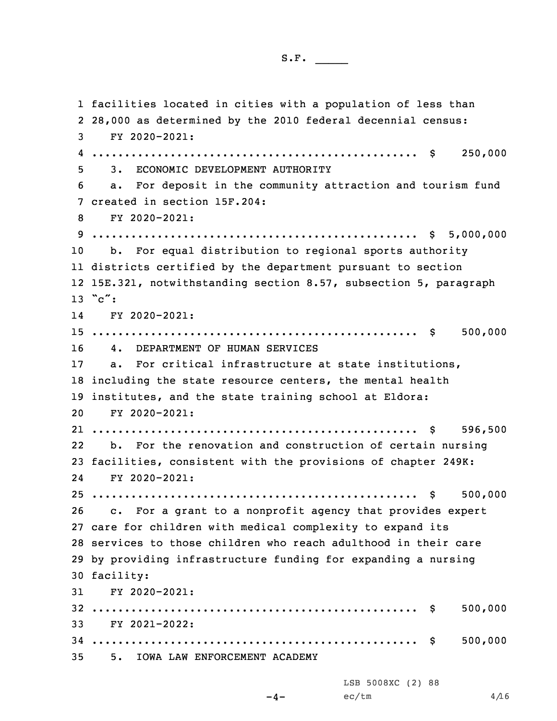facilities located in cities with <sup>a</sup> population of less than 28,000 as determined by the 2010 federal decennial census: FY 2020-2021: .................................................. \$ 250,000 3. ECONOMIC DEVELOPMENT AUTHORITY a. For deposit in the community attraction and tourism fund created in section 15F.204: FY 2020-2021: .................................................. \$ 5,000,000 b. For equal distribution to regional sports authority districts certified by the department pursuant to section 15E.321, notwithstanding section 8.57, subsection 5, paragraph  $13$  " $c$ ": 14 FY 2020-2021: .................................................. \$ 500,000 4. DEPARTMENT OF HUMAN SERVICES a. For critical infrastructure at state institutions, including the state resource centers, the mental health institutes, and the state training school at Eldora: FY 2020-2021: .................................................. \$ 596,500 22 b. For the renovation and construction of certain nursing facilities, consistent with the provisions of chapter 249K: 24 FY 2020-2021: .................................................. \$ 500,000 c. For <sup>a</sup> grant to <sup>a</sup> nonprofit agency that provides expert care for children with medical complexity to expand its services to those children who reach adulthood in their care by providing infrastructure funding for expanding <sup>a</sup> nursing facility: FY 2020-2021: .................................................. \$ 500,000 FY 2021-2022: .................................................. \$ 500,000 5. IOWA LAW ENFORCEMENT ACADEMY LSB 5008XC (2) 88

 $-4-$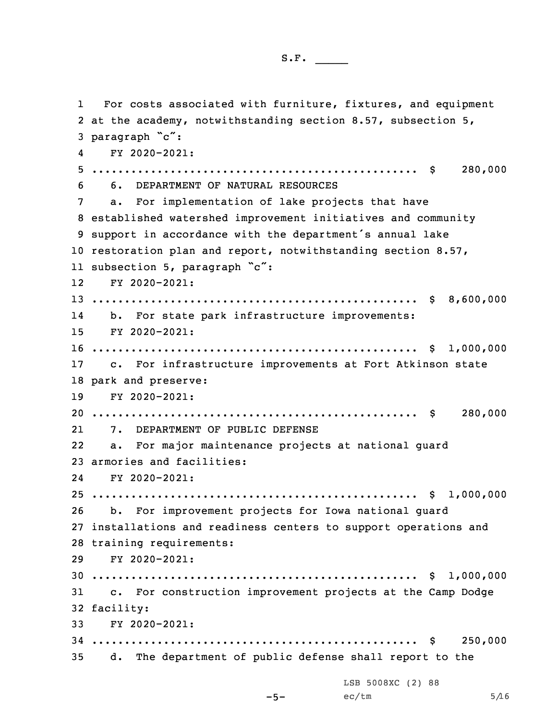1 For costs associated with furniture, fixtures, and equipment at the academy, notwithstanding section 8.57, subsection 5, paragraph "c": 4 FY 2020-2021: .................................................. \$ 280,000 6. DEPARTMENT OF NATURAL RESOURCES a. For implementation of lake projects that have established watershed improvement initiatives and community support in accordance with the department's annual lake restoration plan and report, notwithstanding section 8.57, subsection 5, paragraph "c": FY 2020-2021: .................................................. \$ 8,600,000 14 b. For state park infrastructure improvements: FY 2020-2021: .................................................. \$ 1,000,000 c. For infrastructure improvements at Fort Atkinson state park and preserve: FY 2020-2021: .................................................. \$ 280,000 21 7. DEPARTMENT OF PUBLIC DEFENSE 22 a. For major maintenance projects at national guard armories and facilities: 24 FY 2020-2021: .................................................. \$ 1,000,000 b. For improvement projects for Iowa national guard installations and readiness centers to support operations and training requirements: FY 2020-2021: .................................................. \$ 1,000,000 c. For construction improvement projects at the Camp Dodge facility: FY 2020-2021: .................................................. \$ 250,000 d. The department of public defense shall report to the LSB 5008XC (2) 88

-5-

 $ec/tm$  5/16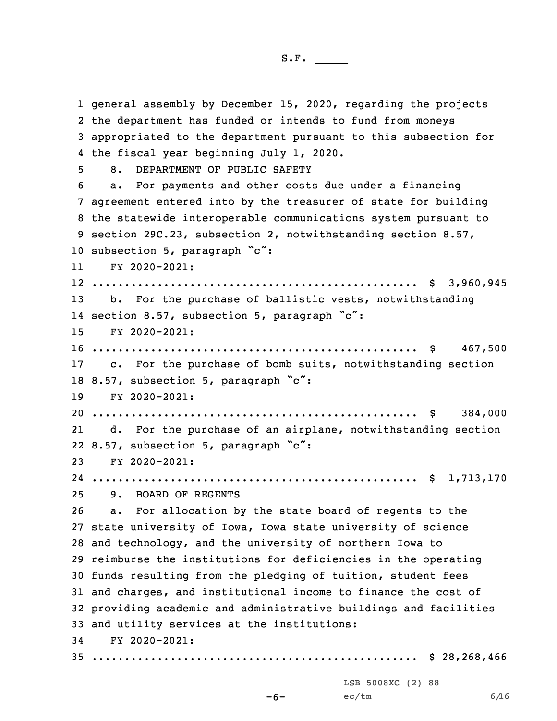general assembly by December 15, 2020, regarding the projects the department has funded or intends to fund from moneys appropriated to the department pursuant to this subsection for the fiscal year beginning July 1, 2020. 8. DEPARTMENT OF PUBLIC SAFETY a. For payments and other costs due under <sup>a</sup> financing agreement entered into by the treasurer of state for building the statewide interoperable communications system pursuant to section 29C.23, subsection 2, notwithstanding section 8.57, 10 subsection 5, paragraph "c": 11 FY 2020-2021: .................................................. \$ 3,960,945 b. For the purchase of ballistic vests, notwithstanding 14 section 8.57, subsection 5, paragraph "c": FY 2020-2021: .................................................. \$ 467,500 c. For the purchase of bomb suits, notwithstanding section 18 8.57, subsection 5, paragraph "c": FY 2020-2021: .................................................. \$ 384,000 21 d. For the purchase of an airplane, notwithstanding section 8.57, subsection 5, paragraph "c": FY 2020-2021: .................................................. \$ 1,713,170 9. BOARD OF REGENTS a. For allocation by the state board of regents to the state university of Iowa, Iowa state university of science and technology, and the university of northern Iowa to reimburse the institutions for deficiencies in the operating funds resulting from the pledging of tuition, student fees and charges, and institutional income to finance the cost of providing academic and administrative buildings and facilities and utility services at the institutions: FY 2020-2021: .................................................. \$ 28,268,466

-6-

LSB 5008XC (2) 88  $ec/tm$  6/16

S.F.  $\rule{1em}{0.15mm}$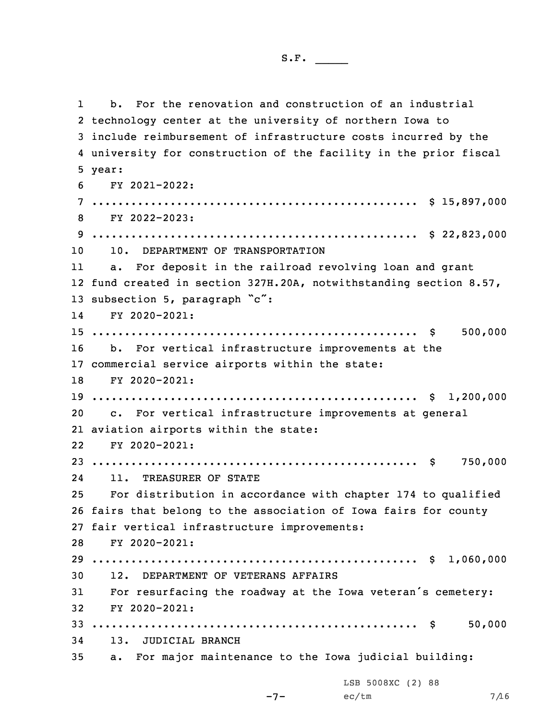1 b. For the renovation and construction of an industrial technology center at the university of northern Iowa to include reimbursement of infrastructure costs incurred by the university for construction of the facility in the prior fiscal 5 year: FY 2021-2022: .................................................. \$ 15,897,000 FY 2022-2023: .................................................. \$ 22,823,000 10. DEPARTMENT OF TRANSPORTATION 11 a. For deposit in the railroad revolving loan and grant fund created in section 327H.20A, notwithstanding section 8.57, 13 subsection 5, paragraph "c": 14 FY 2020-2021: .................................................. \$ 500,000 b. For vertical infrastructure improvements at the commercial service airports within the state: FY 2020-2021: .................................................. \$ 1,200,000 c. For vertical infrastructure improvements at general aviation airports within the state: FY 2020-2021: .................................................. \$ 750,000 24 11. TREASURER OF STATE For distribution in accordance with chapter 174 to qualified fairs that belong to the association of Iowa fairs for county fair vertical infrastructure improvements: FY 2020-2021: .................................................. \$ 1,060,000 12. DEPARTMENT OF VETERANS AFFAIRS For resurfacing the roadway at the Iowa veteran's cemetery: FY 2020-2021: .................................................. \$ 50,000 13. JUDICIAL BRANCH a. For major maintenance to the Iowa judicial building:

-7-

LSB 5008XC (2) 88  $ec/tm$  7/16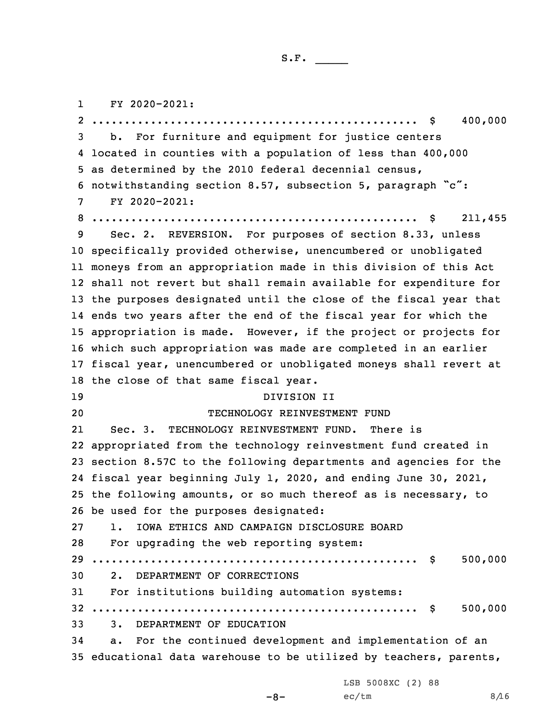1FY 2020-2021:

 .................................................. \$ 400,000 b. For furniture and equipment for justice centers located in counties with <sup>a</sup> population of less than 400,000 as determined by the 2010 federal decennial census, notwithstanding section 8.57, subsection 5, paragraph "c": FY 2020-2021: .................................................. \$ 211,455 Sec. 2. REVERSION. For purposes of section 8.33, unless specifically provided otherwise, unencumbered or unobligated moneys from an appropriation made in this division of this Act shall not revert but shall remain available for expenditure for the purposes designated until the close of the fiscal year that ends two years after the end of the fiscal year for which the appropriation is made. However, if the project or projects for which such appropriation was made are completed in an earlier fiscal year, unencumbered or unobligated moneys shall revert at the close of that same fiscal year. DIVISION II TECHNOLOGY REINVESTMENT FUND 21 Sec. 3. TECHNOLOGY REINVESTMENT FUND. There is appropriated from the technology reinvestment fund created in section 8.57C to the following departments and agencies for the fiscal year beginning July 1, 2020, and ending June 30, 2021, the following amounts, or so much thereof as is necessary, to be used for the purposes designated: 1. IOWA ETHICS AND CAMPAIGN DISCLOSURE BOARD For upgrading the web reporting system: .................................................. \$ 500,000 2. DEPARTMENT OF CORRECTIONS For institutions building automation systems: .................................................. \$ 500,000 3. DEPARTMENT OF EDUCATION a. For the continued development and implementation of an educational data warehouse to be utilized by teachers, parents,

LSB 5008XC (2) 88

-8-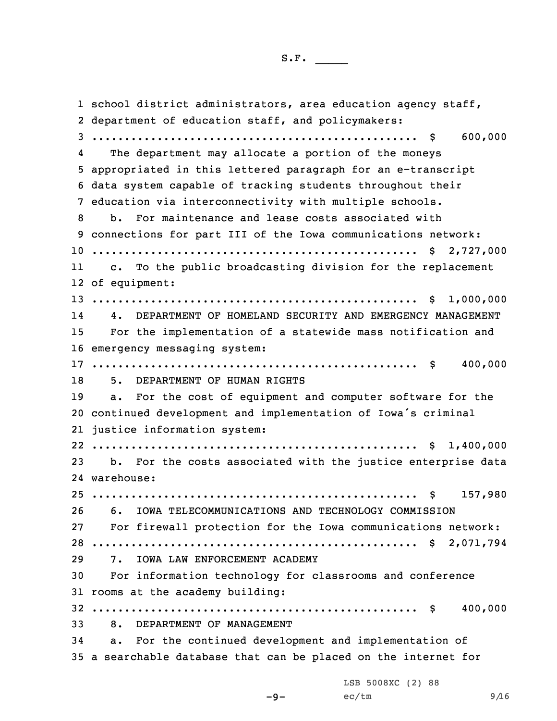1 school district administrators, area education agency staff, department of education staff, and policymakers: .................................................. \$ 600,000 4The department may allocate a portion of the moneys appropriated in this lettered paragraph for an e-transcript data system capable of tracking students throughout their education via interconnectivity with multiple schools. b. For maintenance and lease costs associated with connections for part III of the Iowa communications network: .................................................. \$ 2,727,000 11 c. To the public broadcasting division for the replacement of equipment: .................................................. \$ 1,000,000 14 4. DEPARTMENT OF HOMELAND SECURITY AND EMERGENCY MANAGEMENT For the implementation of <sup>a</sup> statewide mass notification and emergency messaging system: .................................................. \$ 400,000 5. DEPARTMENT OF HUMAN RIGHTS a. For the cost of equipment and computer software for the continued development and implementation of Iowa's criminal justice information system: .................................................. \$ 1,400,000 b. For the costs associated with the justice enterprise data warehouse: .................................................. \$ 157,980 6. IOWA TELECOMMUNICATIONS AND TECHNOLOGY COMMISSION For firewall protection for the Iowa communications network: .................................................. \$ 2,071,794 7. IOWA LAW ENFORCEMENT ACADEMY For information technology for classrooms and conference rooms at the academy building: .................................................. \$ 400,000 8. DEPARTMENT OF MANAGEMENT a. For the continued development and implementation of <sup>a</sup> searchable database that can be placed on the internet for

LSB 5008XC (2) 88

 $-9-$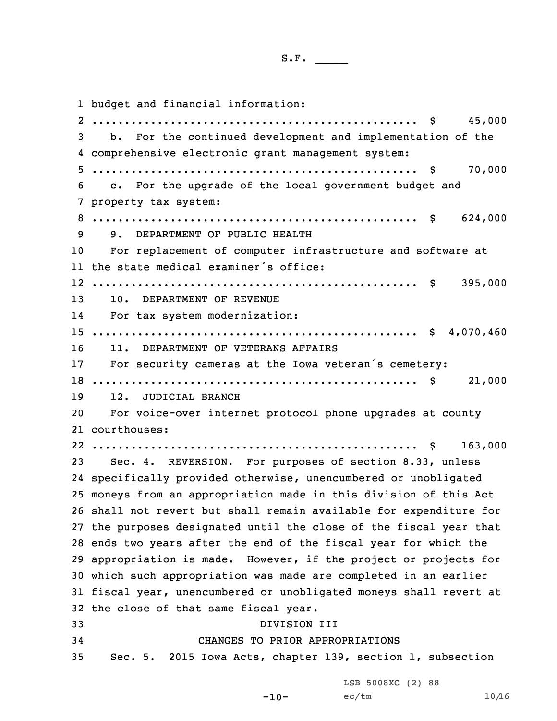budget and financial information: .................................................. \$ 45,000 b. For the continued development and implementation of the comprehensive electronic grant management system: .................................................. \$ 70,000 c. For the upgrade of the local government budget and property tax system: .................................................. \$ 624,000 9. DEPARTMENT OF PUBLIC HEALTH For replacement of computer infrastructure and software at the state medical examiner's office: .................................................. \$ 395,000 10. DEPARTMENT OF REVENUE 14 For tax system modernization: .................................................. \$ 4,070,460 11. DEPARTMENT OF VETERANS AFFAIRS For security cameras at the Iowa veteran's cemetery: .................................................. \$ 21,000 12. JUDICIAL BRANCH For voice-over internet protocol phone upgrades at county courthouses: .................................................. \$ 163,000 Sec. 4. REVERSION. For purposes of section 8.33, unless specifically provided otherwise, unencumbered or unobligated moneys from an appropriation made in this division of this Act shall not revert but shall remain available for expenditure for the purposes designated until the close of the fiscal year that ends two years after the end of the fiscal year for which the appropriation is made. However, if the project or projects for which such appropriation was made are completed in an earlier fiscal year, unencumbered or unobligated moneys shall revert at the close of that same fiscal year. DIVISION III CHANGES TO PRIOR APPROPRIATIONS Sec. 5. 2015 Iowa Acts, chapter 139, section 1, subsection

LSB 5008XC (2) 88

-10-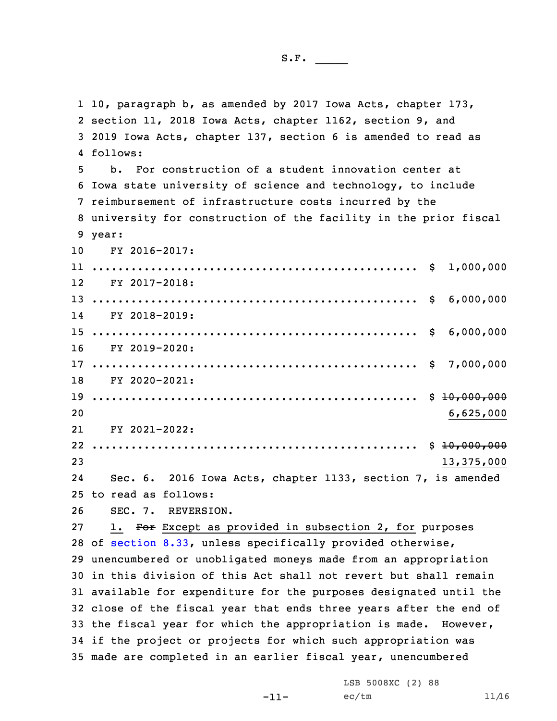10, paragraph b, as amended by 2017 Iowa Acts, chapter 173, section 11, 2018 Iowa Acts, chapter 1162, section 9, and 2019 Iowa Acts, chapter 137, section 6 is amended to read as 4 follows: b. For construction of <sup>a</sup> student innovation center at Iowa state university of science and technology, to include reimbursement of infrastructure costs incurred by the university for construction of the facility in the prior fiscal 9 year: FY 2016-2017: .................................................. \$ 1,000,000 12 FY 2017-2018: .................................................. \$ 6,000,000 14 FY 2018-2019: .................................................. \$ 6,000,000 FY 2019-2020: .................................................. \$ 7,000,000 FY 2020-2021: .................................................. \$ 10,000,000 6,625,000 21 FY 2021-2022: .................................................. \$ 10,000,000 13,375,000 24 Sec. 6. 2016 Iowa Acts, chapter 1133, section 7, is amended to read as follows: SEC. 7. REVERSION. 27 1. For Except as provided in subsection 2, for purposes of [section](https://www.legis.iowa.gov/docs/code/2020/8.33.pdf) 8.33, unless specifically provided otherwise, unencumbered or unobligated moneys made from an appropriation in this division of this Act shall not revert but shall remain available for expenditure for the purposes designated until the close of the fiscal year that ends three years after the end of the fiscal year for which the appropriation is made. However, if the project or projects for which such appropriation was made are completed in an earlier fiscal year, unencumbered

-11-

LSB 5008XC (2) 88  $ec/tm$  11/16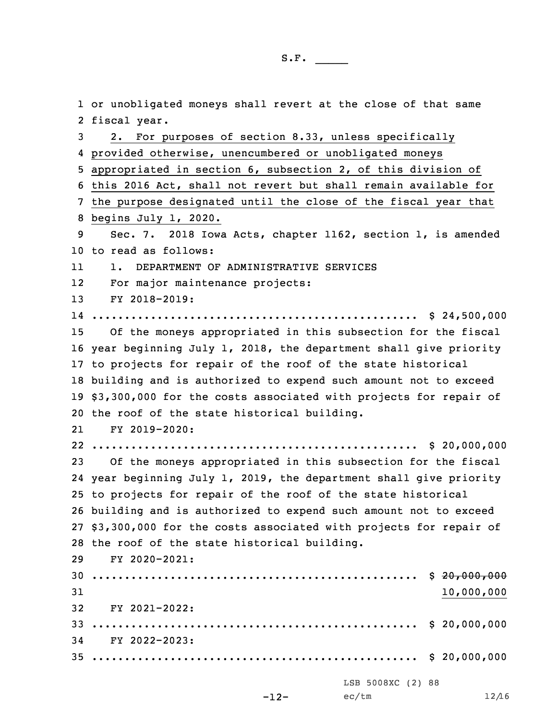or unobligated moneys shall revert at the close of that same fiscal year. 2. For purposes of section 8.33, unless specifically provided otherwise, unencumbered or unobligated moneys appropriated in section 6, subsection 2, of this division of this 2016 Act, shall not revert but shall remain available for the purpose designated until the close of the fiscal year that begins July 1, 2020. Sec. 7. 2018 Iowa Acts, chapter 1162, section 1, is amended to read as follows: 11 1. DEPARTMENT OF ADMINISTRATIVE SERVICES 12 For major maintenance projects: FY 2018-2019: .................................................. \$ 24,500,000 Of the moneys appropriated in this subsection for the fiscal year beginning July 1, 2018, the department shall give priority to projects for repair of the roof of the state historical building and is authorized to expend such amount not to exceed \$3,300,000 for the costs associated with projects for repair of the roof of the state historical building. 21 FY 2019-2020: .................................................. \$ 20,000,000 Of the moneys appropriated in this subsection for the fiscal year beginning July 1, 2019, the department shall give priority to projects for repair of the roof of the state historical building and is authorized to expend such amount not to exceed \$3,300,000 for the costs associated with projects for repair of the roof of the state historical building. FY 2020-2021: .................................................. \$ 20,000,000 10,000,000 FY 2021-2022: .................................................. \$ 20,000,000 FY 2022-2023: .................................................. \$ 20,000,000 LSB 5008XC (2) 88

S.F.  $\rule{1em}{0.15mm}$ 

 $ec/tm$  12/16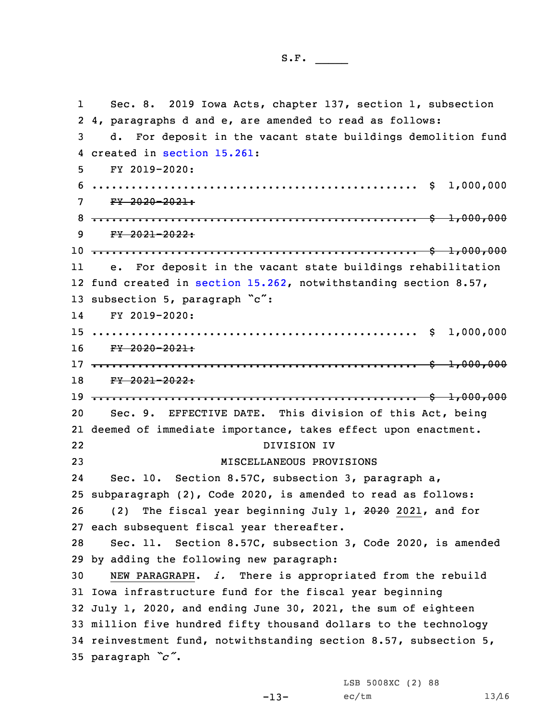1 Sec. 8. 2019 Iowa Acts, chapter 137, section 1, subsection 2 4, paragraphs d and e, are amended to read as follows: 3 d. For deposit in the vacant state buildings demolition fund 4 created in [section](https://www.legis.iowa.gov/docs/code/2020/15.261.pdf) 15.261: 5 FY 2019-2020: 6 .................................................. \$ 1,000,000  $7 \frac{FY - 2020 - 2021}{t}$ 8 .................................................. \$ 1,000,000  $9$   $FY$   $2021 - 2022$ : 10 .................................................. \$ 1,000,000 11 e. For deposit in the vacant state buildings rehabilitation 12 fund created in section [15.262](https://www.legis.iowa.gov/docs/code/2020/15.262.pdf), notwithstanding section 8.57, 13 subsection 5, paragraph "c": 14 FY 2019-2020: 15 .................................................. \$ 1,000,000 16 FY 2020-2021: 17 .................................................. \$ 1,000,000 18 FY 2021-2022: 19 .................................................. \$ 1,000,000 20 Sec. 9. EFFECTIVE DATE. This division of this Act, being 21 deemed of immediate importance, takes effect upon enactment. 22 DIVISION IV 23 MISCELLANEOUS PROVISIONS 24 Sec. 10. Section 8.57C, subsection 3, paragraph a, 25 subparagraph (2), Code 2020, is amended to read as follows: 26 (2) The fiscal year beginning July 1, 2020 2021, and for 27 each subsequent fiscal year thereafter. 28 Sec. 11. Section 8.57C, subsection 3, Code 2020, is amended 29 by adding the following new paragraph: 30 NEW PARAGRAPH. *i.* There is appropriated from the rebuild 31 Iowa infrastructure fund for the fiscal year beginning 32 July 1, 2020, and ending June 30, 2021, the sum of eighteen 33 million five hundred fifty thousand dollars to the technology 34 reinvestment fund, notwithstanding section 8.57, subsection 5, <sup>35</sup> paragraph *"c"*.

-13-

LSB 5008XC (2) 88  $ec/tm$  13/16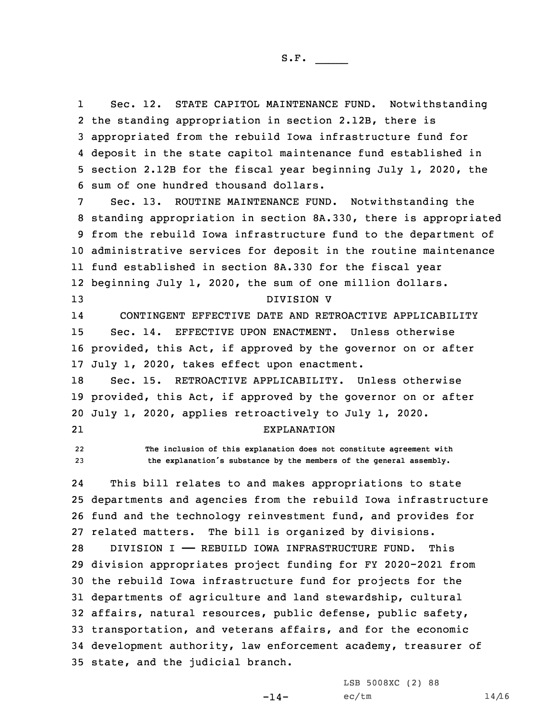1 Sec. 12. STATE CAPITOL MAINTENANCE FUND. Notwithstanding the standing appropriation in section 2.12B, there is appropriated from the rebuild Iowa infrastructure fund for deposit in the state capitol maintenance fund established in section 2.12B for the fiscal year beginning July 1, 2020, the sum of one hundred thousand dollars.

Sec. 13. ROUTINE MAINTENANCE FUND. Notwithstanding the standing appropriation in section 8A.330, there is appropriated from the rebuild Iowa infrastructure fund to the department of administrative services for deposit in the routine maintenance fund established in section 8A.330 for the fiscal year beginning July 1, 2020, the sum of one million dollars. DIVISION V

14 CONTINGENT EFFECTIVE DATE AND RETROACTIVE APPLICABILITY 15 Sec. 14. EFFECTIVE UPON ENACTMENT. Unless otherwise 16 provided, this Act, if approved by the governor on or after 17 July 1, 2020, takes effect upon enactment.

18 Sec. 15. RETROACTIVE APPLICABILITY. Unless otherwise 19 provided, this Act, if approved by the governor on or after 20 July 1, 2020, applies retroactively to July 1, 2020.

21

EXPLANATION

22 **The inclusion of this explanation does not constitute agreement with** <sup>23</sup> **the explanation's substance by the members of the general assembly.**

24 This bill relates to and makes appropriations to state 25 departments and agencies from the rebuild Iowa infrastructure 26 fund and the technology reinvestment fund, and provides for 27 related matters. The bill is organized by divisions.

 DIVISION I —— REBUILD IOWA INFRASTRUCTURE FUND. This division appropriates project funding for FY 2020-2021 from the rebuild Iowa infrastructure fund for projects for the departments of agriculture and land stewardship, cultural affairs, natural resources, public defense, public safety, transportation, and veterans affairs, and for the economic development authority, law enforcement academy, treasurer of state, and the judicial branch.

 $-14-$ 

LSB 5008XC (2) 88  $ec/tm$  14/16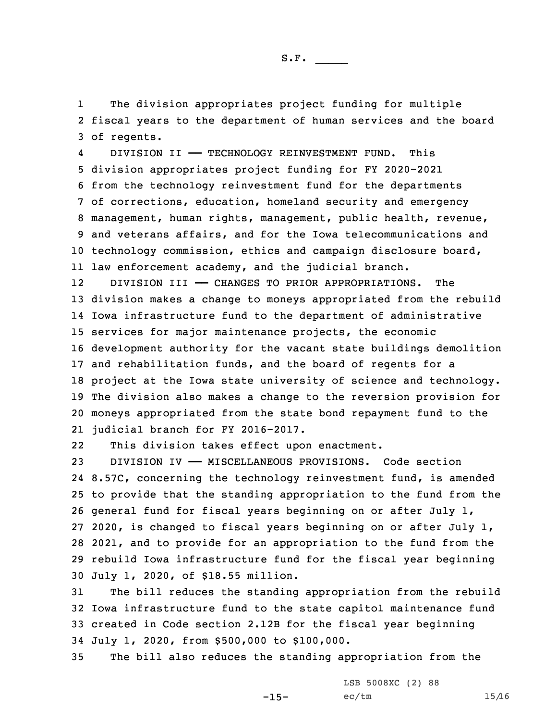1 The division appropriates project funding for multiple 2 fiscal years to the department of human services and the board 3 of regents.

4 DIVISION II —— TECHNOLOGY REINVESTMENT FUND. This division appropriates project funding for FY 2020-2021 from the technology reinvestment fund for the departments of corrections, education, homeland security and emergency management, human rights, management, public health, revenue, and veterans affairs, and for the Iowa telecommunications and technology commission, ethics and campaign disclosure board, law enforcement academy, and the judicial branch.

12 DIVISION III —— CHANGES TO PRIOR APPROPRIATIONS. The division makes <sup>a</sup> change to moneys appropriated from the rebuild Iowa infrastructure fund to the department of administrative services for major maintenance projects, the economic development authority for the vacant state buildings demolition and rehabilitation funds, and the board of regents for <sup>a</sup> project at the Iowa state university of science and technology. The division also makes <sup>a</sup> change to the reversion provision for moneys appropriated from the state bond repayment fund to the judicial branch for FY 2016-2017.

22This division takes effect upon enactment.

 DIVISION IV —— MISCELLANEOUS PROVISIONS. Code section 8.57C, concerning the technology reinvestment fund, is amended to provide that the standing appropriation to the fund from the general fund for fiscal years beginning on or after July 1, 2020, is changed to fiscal years beginning on or after July 1, 2021, and to provide for an appropriation to the fund from the rebuild Iowa infrastructure fund for the fiscal year beginning July 1, 2020, of \$18.55 million.

 The bill reduces the standing appropriation from the rebuild Iowa infrastructure fund to the state capitol maintenance fund created in Code section 2.12B for the fiscal year beginning July 1, 2020, from \$500,000 to \$100,000.

35 The bill also reduces the standing appropriation from the

 $-15-$ 

LSB 5008XC (2) 88  $ec/tm$  15/16